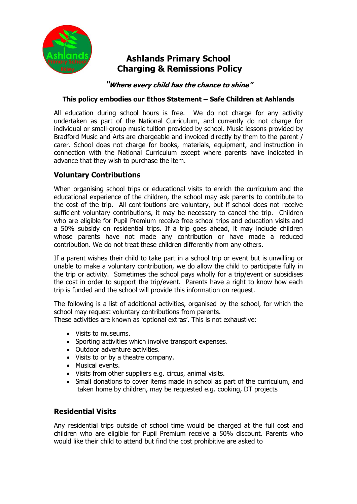

# **Ashlands Primary School Charging & Remissions Policy**

**"Where every child has the chance to shine"**

#### **This policy embodies our Ethos Statement – Safe Children at Ashlands**

All education during school hours is free. We do not charge for any activity undertaken as part of the National Curriculum, and currently do not charge for individual or small-group music tuition provided by school. Music lessons provided by Bradford Music and Arts are chargeable and invoiced directly by them to the parent / carer. School does not charge for books, materials, equipment, and instruction in connection with the National Curriculum except where parents have indicated in advance that they wish to purchase the item.

# **Voluntary Contributions**

When organising school trips or educational visits to enrich the curriculum and the educational experience of the children, the school may ask parents to contribute to the cost of the trip. All contributions are voluntary, but if school does not receive sufficient voluntary contributions, it may be necessary to cancel the trip. Children who are eligible for Pupil Premium receive free school trips and education visits and a 50% subsidy on residential trips. If a trip goes ahead, it may include children whose parents have not made any contribution or have made a reduced contribution. We do not treat these children differently from any others.

If a parent wishes their child to take part in a school trip or event but is unwilling or unable to make a voluntary contribution, we do allow the child to participate fully in the trip or activity. Sometimes the school pays wholly for a trip/event or subsidises the cost in order to support the trip/event. Parents have a right to know how each trip is funded and the school will provide this information on request.

The following is a list of additional activities, organised by the school, for which the school may request voluntary contributions from parents.

These activities are known as 'optional extras'. This is not exhaustive:

- Visits to museums.
- Sporting activities which involve transport expenses.
- Outdoor adventure activities.
- Visits to or by a theatre company.
- Musical events.
- Visits from other suppliers e.g. circus, animal visits.
- Small donations to cover items made in school as part of the curriculum, and taken home by children, may be requested e.g. cooking, DT projects

# **Residential Visits**

Any residential trips outside of school time would be charged at the full cost and children who are eligible for Pupil Premium receive a 50% discount. Parents who would like their child to attend but find the cost prohibitive are asked to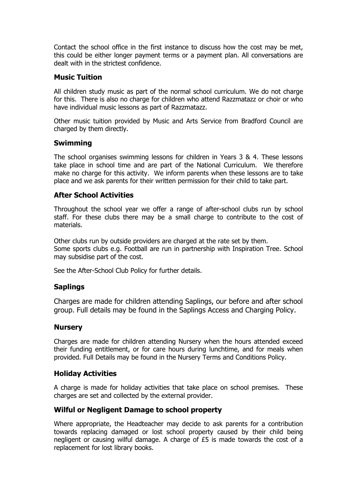Contact the school office in the first instance to discuss how the cost may be met, this could be either longer payment terms or a payment plan. All conversations are dealt with in the strictest confidence.

# **Music Tuition**

All children study music as part of the normal school curriculum. We do not charge for this. There is also no charge for children who attend Razzmatazz or choir or who have individual music lessons as part of Razzmatazz.

Other music tuition provided by Music and Arts Service from Bradford Council are charged by them directly.

# **Swimming**

The school organises swimming lessons for children in Years 3 & 4. These lessons take place in school time and are part of the National Curriculum. We therefore make no charge for this activity. We inform parents when these lessons are to take place and we ask parents for their written permission for their child to take part.

# **After School Activities**

Throughout the school year we offer a range of after-school clubs run by school staff. For these clubs there may be a small charge to contribute to the cost of materials.

Other clubs run by outside providers are charged at the rate set by them. Some sports clubs e.g. Football are run in partnership with Inspiration Tree. School may subsidise part of the cost.

See the After-School Club Policy for further details.

# **Saplings**

Charges are made for children attending Saplings, our before and after school group. Full details may be found in the Saplings Access and Charging Policy.

#### **Nursery**

Charges are made for children attending Nursery when the hours attended exceed their funding entitlement, or for care hours during lunchtime, and for meals when provided. Full Details may be found in the Nursery Terms and Conditions Policy.

# **Holiday Activities**

A charge is made for holiday activities that take place on school premises. These charges are set and collected by the external provider.

# **Wilful or Negligent Damage to school property**

Where appropriate, the Headteacher may decide to ask parents for a contribution towards replacing damaged or lost school property caused by their child being negligent or causing wilful damage. A charge of £5 is made towards the cost of a replacement for lost library books.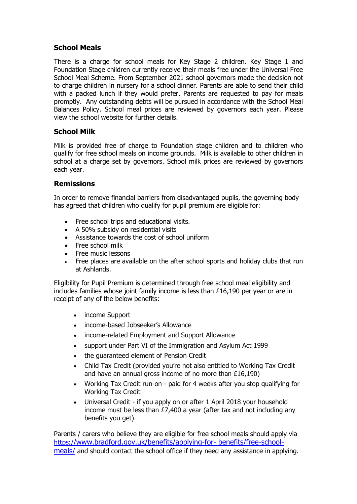# **School Meals**

There is a charge for school meals for Key Stage 2 children. Key Stage 1 and Foundation Stage children currently receive their meals free under the Universal Free School Meal Scheme. From September 2021 school governors made the decision not to charge children in nursery for a school dinner. Parents are able to send their child with a packed lunch if they would prefer. Parents are requested to pay for meals promptly. Any outstanding debts will be pursued in accordance with the School Meal Balances Policy. School meal prices are reviewed by governors each year. Please view the school website for further details.

# **School Milk**

Milk is provided free of charge to Foundation stage children and to children who qualify for free school meals on income grounds. Milk is available to other children in school at a charge set by governors. School milk prices are reviewed by governors each year.

# **Remissions**

In order to remove financial barriers from disadvantaged pupils, the governing body has agreed that children who qualify for pupil premium are eligible for:

- Free school trips and educational visits.
- A 50% subsidy on residential visits
- Assistance towards the cost of school uniform
- Free school milk
- Free music lessons
- Free places are available on the after school sports and holiday clubs that run at Ashlands.

Eligibility for Pupil Premium is determined through free school meal eligibility and includes families whose joint family income is less than £16,190 per year or are in receipt of any of the below benefits:

- income Support
- income-based Jobseeker's Allowance
- income-related Employment and Support Allowance
- support under Part VI of the Immigration and Asylum Act 1999
- the guaranteed element of Pension Credit
- Child Tax Credit (provided you're not also entitled to Working Tax Credit and have an annual gross income of no more than £16,190)
- Working Tax Credit run-on paid for 4 weeks after you stop qualifying for Working Tax Credit
- Universal Credit if you apply on or after 1 April 2018 your household income must be less than £7,400 a year (after tax and not including any benefits you get)

Parents / carers who believe they are eligible for free school meals should apply via https:/[/www.bradford.gov.uk/benefits/applying-for-](https://www.bradford.gov.uk/benefits/applying-for-%20benefits/free-school-meals/) benefits/free-schoo[l](https://www.bradford.gov.uk/benefits/applying-for-%20benefits/free-school-meals/)[meals/](https://www.bradford.gov.uk/benefits/applying-for-%20benefits/free-school-meals/) and should contact the school office if they need any assistance in applying.